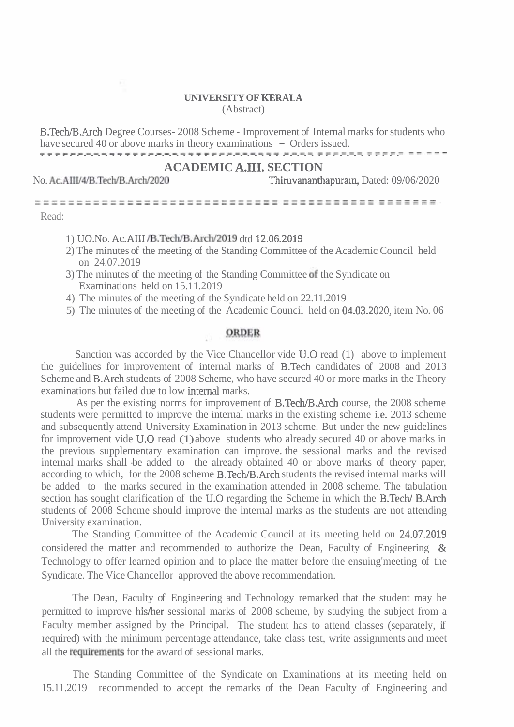## **UNIVERSITY OF KERALA**  (Abstract)

B.Tech/B.Arch Degree Courses- 2008 Scheme - Improvement of Internal marks for students who have secured 40 or above marks in theory examinations - Orders issued. B. Lecn/B.Arch Degree Courses-2008 Scheme - Improvement or Internal marks for studence have secured 40 or above marks in theory examinations - Orders issued.

## **ACADEMIC A.111. SECTION**

No. **Ac.AIIII4/B.Tech/B.Archl2020** Thiruvananthapurarn, Dated: 09/06/2020

----------------------------------------------- -----------------------------------------------. Read:

## 1) UO.No. Ac.AII1 /B.TechlB.Arch/2019 dtd 12.06.2019

- 2) The minutes of the meeting of the Standing Committee of the Academic Council held on 24.07.2019
- 3) The minutes of the meeting of the Standing Committee of the Syndicate on Examinations held on 15.11.2019
- 4) The minutes of the meeting of the Syndicate held on 22.11.2019
- 5) The minutes of the meeting of the Academic Council held on 04.03.2020, item No. 06

## **ORDER**

Sanction was accorded by the Vice Chancellor vide U.O read (1) above to implement the guidelines for improvement of internal marks of B.Tech candidates of 2008 and 2013 Scheme and B.Arch students of 2008 Scheme, who have secured 40 or more marks in the Theory examinations but failed due to low internal marks.

As per the existing norms for improvement of **B.Tech/B.Arch** course, the 2008 scheme students were permitted to improve the internal marks in the existing scheme i.e. 2013 scheme and subsequently attend University Examination in 2013 scheme. But under the new guidelines for improvement vide U.0 read (1) above students who already secured 40 or above marks in the previous supplementary examination can improve. the sessional marks and the revised internal marks shall -be added to the already obtained 40 or above marks of theory paper, according to which, for the 2008 scheme B.Tech/B.Arch students the revised internal marks will be added to the marks secured in the examination attended in 2008 scheme. The tabulation section has sought clarification of the U.O regarding the Scheme in which the B.Tech/ B.Arch students of 2008 Scheme should improve the internal marks as the students are not attending University examination.

The Standing Committee of the Academic Council at its meeting held on 24.07.2019 considered the matter and recommended to authorize the Dean, Faculty of Engineering & Technology to offer learned opinion and to place the matter before the ensuing'meeting of the Syndicate. The Vice Chancellor approved the above recommendation.

The Dean, Faculty of Engineering and Technology remarked that the student may be permitted to improve hisfher sessional marks of 2008 scheme, by studying the subject from a Faculty member assigned by the Principal. The student has to attend classes (separately, if required) with the minimum percentage attendance, take class test, write assignments and meet all the **requirements** for the award of sessional marks.

The Standing Committee of the Syndicate on Examinations at its meeting held on 15.11.2019 recommended to accept the remarks of the Dean Faculty of Engineering and